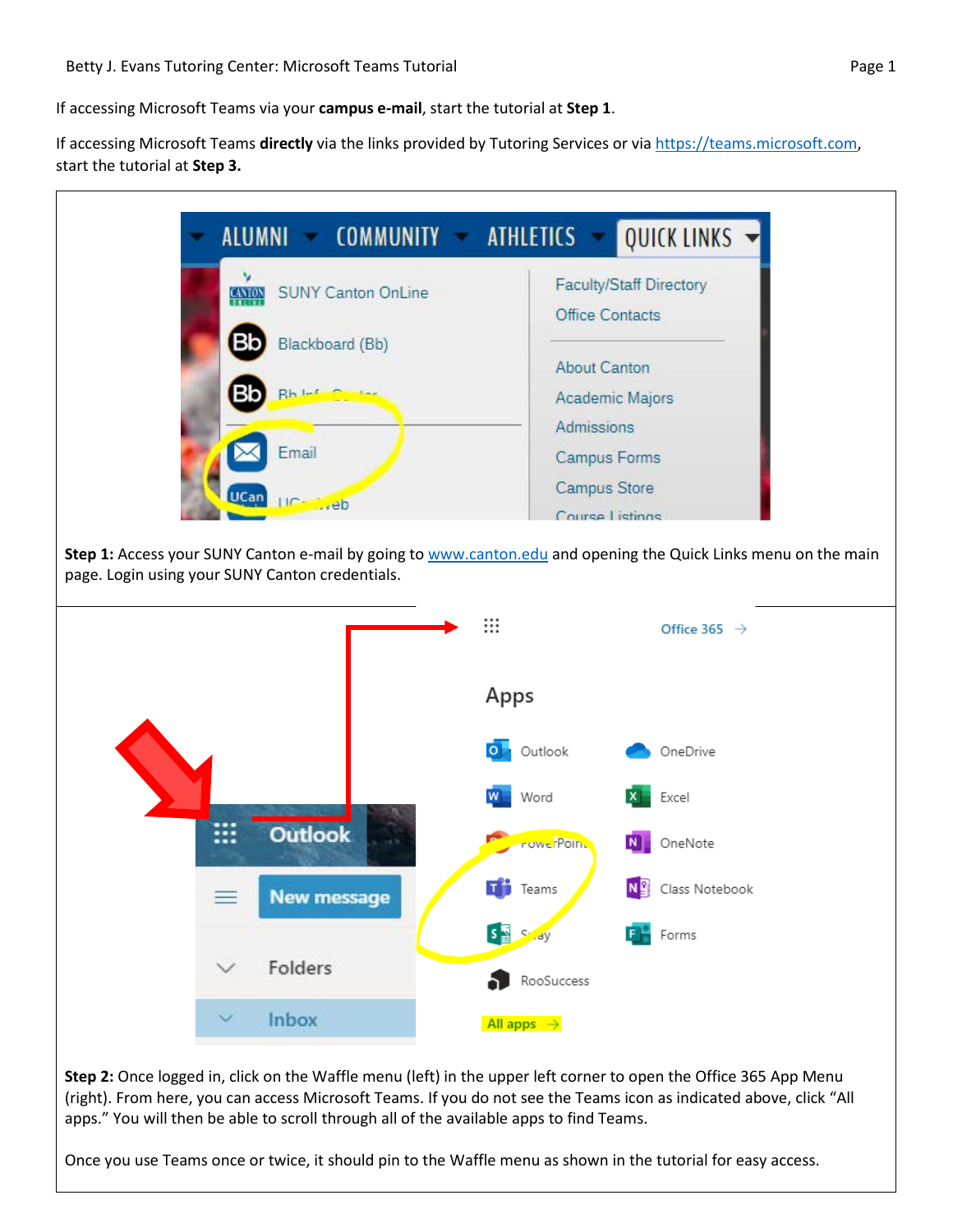If accessing Microsoft Teams **directly** via the links provided by Tutoring Services or via [https://teams.microsoft.com,](https://teams.microsoft.com/) start the tutorial at **Step 3.**



**Step 2:** Once logged in, click on the Waffle menu (left) in the upper left corner to open the Office 365 App Menu (right). From here, you can access Microsoft Teams. If you do not see the Teams icon as indicated above, click "All apps." You will then be able to scroll through all of the available apps to find Teams.

Once you use Teams once or twice, it should pin to the Waffle menu as shown in the tutorial for easy access.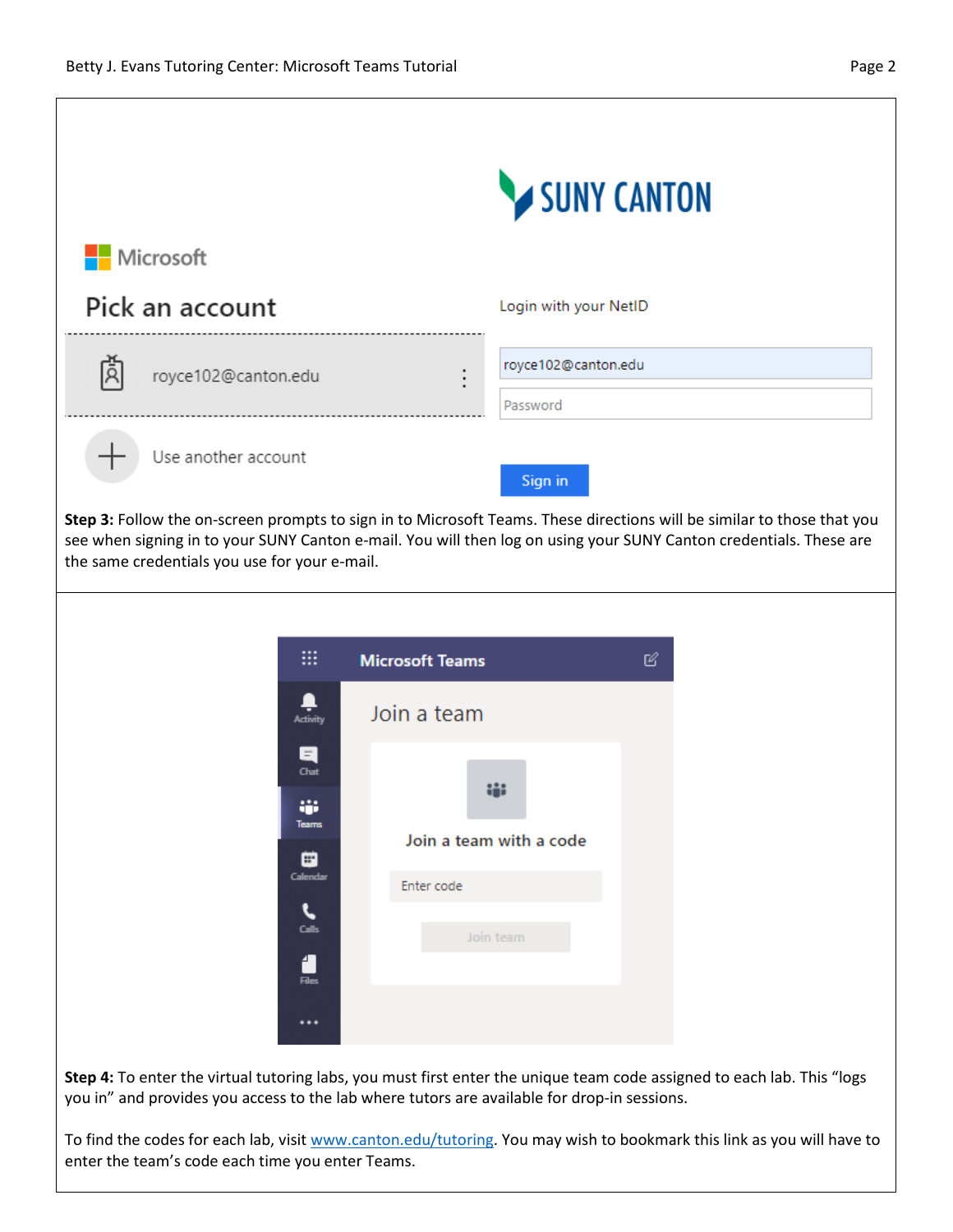|                                                                                                                                                                                                                                                                                               | SUNY CANTON                                                                                                                                                                                                           |
|-----------------------------------------------------------------------------------------------------------------------------------------------------------------------------------------------------------------------------------------------------------------------------------------------|-----------------------------------------------------------------------------------------------------------------------------------------------------------------------------------------------------------------------|
| Microsoft                                                                                                                                                                                                                                                                                     |                                                                                                                                                                                                                       |
| Pick an account                                                                                                                                                                                                                                                                               | Login with your NetID                                                                                                                                                                                                 |
| royce102@canton.edu                                                                                                                                                                                                                                                                           | royce102@canton.edu<br>Password                                                                                                                                                                                       |
| Use another account                                                                                                                                                                                                                                                                           | Sign in                                                                                                                                                                                                               |
| Step 3: Follow the on-screen prompts to sign in to Microsoft Teams. These directions will be similar to those that you<br>see when signing in to your SUNY Canton e-mail. You will then log on using your SUNY Canton credentials. These are<br>the same credentials you use for your e-mail. |                                                                                                                                                                                                                       |
| ₩                                                                                                                                                                                                                                                                                             | <b>Microsoft Teams</b><br>B                                                                                                                                                                                           |
| $\blacksquare$<br><b>Activity</b>                                                                                                                                                                                                                                                             | Join a team                                                                                                                                                                                                           |
| Ε<br>Chat<br>÷<br>Teams<br>e<br>Calendar<br>Calls<br>4<br><b>Files</b>                                                                                                                                                                                                                        | Join a team with a code<br>Enter code<br>Join team                                                                                                                                                                    |
| $\cdots$                                                                                                                                                                                                                                                                                      | Step 4: To enter the virtual tutoring labs, you must first enter the unique team code assigned to each lab. This "logs<br>you in" and provides you access to the lab where tutors are available for drop-in sessions. |

To find the codes for each lab, visi[t www.canton.edu/tutoring.](http://www.canton.edu/tutoring) You may wish to bookmark this link as you will have to enter the team's code each time you enter Teams.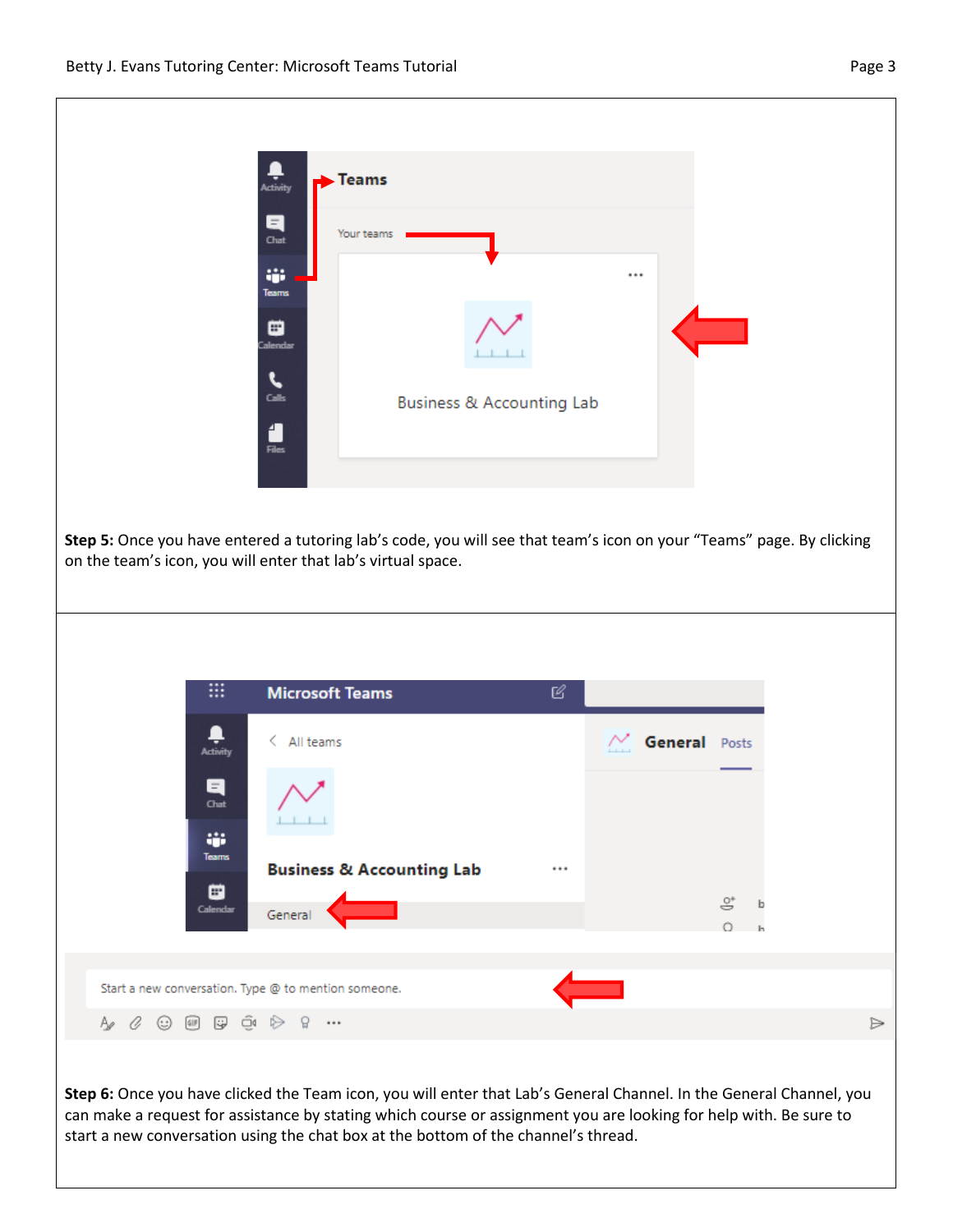